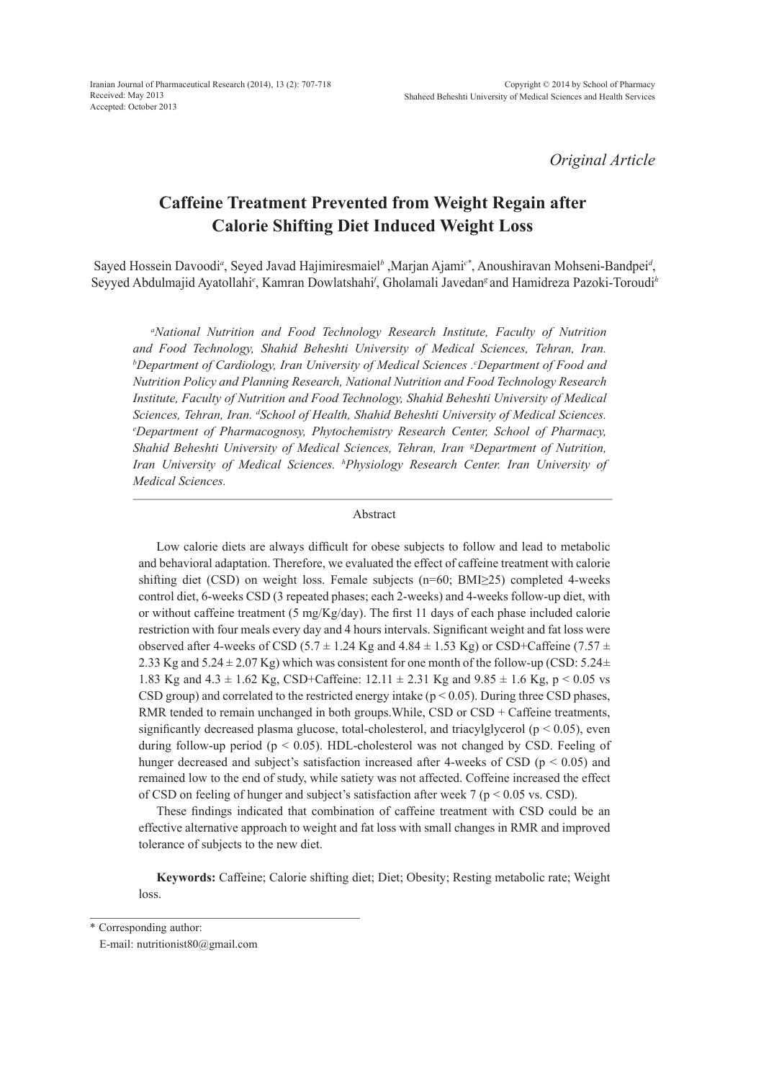*Original Article*

# **Caffeine Treatment Prevented from Weight Regain after Calorie Shifting Diet Induced Weight Loss**

Sayed Hossein Davoodi<sup>a</sup>, Seyed Javad Hajimiresmaiel<sup>b</sup>, Marjan Ajami<sup>c\*</sup>, Anoushiravan Mohseni-Bandpei<sup>*d*</sup>, Seyyed Abdulmajid Ayatollahi*<sup>e</sup>* , Kamran Dowlatshahi*<sup>f</sup>* , Gholamali Javedan*<sup>g</sup>* and Hamidreza Pazoki-Toroudi*<sup>h</sup>*

<sup>a</sup>National Nutrition and Food Technology Research Institute, Faculty of Nutrition *and Food Technology, Shahid Beheshti University of Medical Sciences, Tehran, Iran. b Department of Cardiology, Iran University of Medical Sciences .c Department of Food and Nutrition Policy and Planning Research, National Nutrition and Food Technology Research Institute, Faculty of Nutrition and Food Technology, Shahid Beheshti University of Medical Sciences, Tehran, Iran.* <sup>*d</sup>School of Health, Shahid Beheshti University of Medical Sciences.*<br>©Department of Pharmacognosy, Phytochemistry Research Center, School of Pharmacy</sup> *Department of Pharmacognosy, Phytochemistry Research Center, School of Pharmacy, Shahid Beheshti University of Medical Sciences, Tehran, Iran. <sup>g</sup> Department of Nutrition, Iran University of Medical Sciences. h Physiology Research Center. Iran University of Medical Sciences.*

## Abstract

Low calorie diets are always difficult for obese subjects to follow and lead to metabolic and behavioral adaptation. Therefore, we evaluated the effect of caffeine treatment with calorie shifting diet (CSD) on weight loss. Female subjects (n=60; BMI≥25) completed 4-weeks control diet, 6-weeks CSD (3 repeated phases; each 2-weeks) and 4-weeks follow-up diet, with or without caffeine treatment (5 mg/Kg/day). The first 11 days of each phase included calorie restriction with four meals every day and 4 hours intervals. Significant weight and fat loss were observed after 4-weeks of CSD (5.7  $\pm$  1.24 Kg and 4.84  $\pm$  1.53 Kg) or CSD+Caffeine (7.57  $\pm$ 2.33 Kg and  $5.24 \pm 2.07$  Kg) which was consistent for one month of the follow-up (CSD:  $5.24 \pm$ 1.83 Kg and  $4.3 \pm 1.62$  Kg, CSD+Caffeine:  $12.11 \pm 2.31$  Kg and  $9.85 \pm 1.6$  Kg, p < 0.05 vs CSD group) and correlated to the restricted energy intake ( $p \le 0.05$ ). During three CSD phases, RMR tended to remain unchanged in both groups. While, CSD or CSD + Caffeine treatments, significantly decreased plasma glucose, total-cholesterol, and triacylglycerol ( $p < 0.05$ ), even during follow-up period ( $p \le 0.05$ ). HDL-cholesterol was not changed by CSD. Feeling of hunger decreased and subject's satisfaction increased after 4-weeks of CSD ( $p < 0.05$ ) and remained low to the end of study, while satiety was not affected. Coffeine increased the effect of CSD on feeling of hunger and subject's satisfaction after week 7 ( $p < 0.05$  vs. CSD).

These findings indicated that combination of caffeine treatment with CSD could be an effective alternative approach to weight and fat loss with small changes in RMR and improved tolerance of subjects to the new diet.

**Keywords:** Caffeine; Calorie shifting diet; Diet; Obesity; Resting metabolic rate; Weight loss.

\* Corresponding author:

E-mail: nutritionist80@gmail.com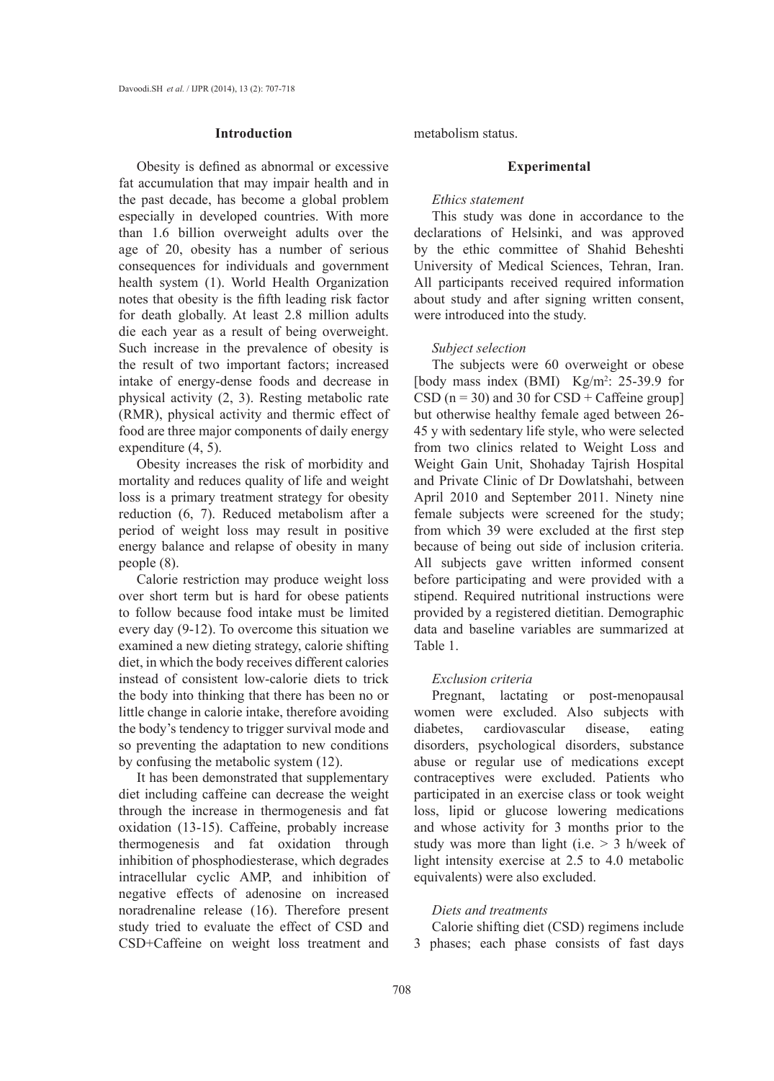## **Introduction**

Obesity is defined as abnormal or excessive fat accumulation that may impair health and in the past decade, has become a global problem especially in developed countries. With more than 1.6 billion overweight adults over the age of 20, obesity has a number of serious consequences for individuals and government health system (1). World Health Organization notes that obesity is the fifth leading risk factor for death globally. At least 2.8 million adults die each year as a result of being overweight. Such increase in the prevalence of obesity is the result of two important factors; increased intake of energy-dense foods and decrease in physical activity (2, 3). Resting metabolic rate (RMR), physical activity and thermic effect of food are three major components of daily energy expenditure (4, 5).

Obesity increases the risk of morbidity and mortality and reduces quality of life and weight loss is a primary treatment strategy for obesity reduction (6, 7). Reduced metabolism after a period of weight loss may result in positive energy balance and relapse of obesity in many people (8).

Calorie restriction may produce weight loss over short term but is hard for obese patients to follow because food intake must be limited every day (9-12). To overcome this situation we examined a new dieting strategy, calorie shifting diet, in which the body receives different calories instead of consistent low-calorie diets to trick the body into thinking that there has been no or little change in calorie intake, therefore avoiding the body's tendency to trigger survival mode and so preventing the adaptation to new conditions by confusing the metabolic system (12).

It has been demonstrated that supplementary diet including caffeine can decrease the weight through the increase in thermogenesis and fat oxidation (13-15). Caffeine, probably increase thermogenesis and fat oxidation through inhibition of phosphodiesterase, which degrades intracellular cyclic AMP, and inhibition of negative effects of adenosine on increased noradrenaline release (16). Therefore present study tried to evaluate the effect of CSD and CSD+Caffeine on weight loss treatment and metabolism status.

# **Experimental**

## *Ethics statement*

This study was done in accordance to the declarations of Helsinki, and was approved by the ethic committee of Shahid Beheshti University of Medical Sciences, Tehran, Iran. All participants received required information about study and after signing written consent, were introduced into the study.

#### *Subject selection*

The subjects were 60 overweight or obese [body mass index (BMI)  $Kg/m^2$ : 25-39.9 for CSD ( $n = 30$ ) and 30 for CSD + Caffeine group] but otherwise healthy female aged between 26- 45 y with sedentary life style, who were selected from two clinics related to Weight Loss and Weight Gain Unit, Shohaday Tajrish Hospital and Private Clinic of Dr Dowlatshahi, between April 2010 and September 2011. Ninety nine female subjects were screened for the study; from which 39 were excluded at the first step because of being out side of inclusion criteria. All subjects gave written informed consent before participating and were provided with a stipend. Required nutritional instructions were provided by a registered dietitian. Demographic data and baseline variables are summarized at Table 1.

# *Exclusion criteria*

Pregnant, lactating or post-menopausal women were excluded. Also subjects with diabetes, cardiovascular disease, eating disorders, psychological disorders, substance abuse or regular use of medications except contraceptives were excluded. Patients who participated in an exercise class or took weight loss, lipid or glucose lowering medications and whose activity for 3 months prior to the study was more than light (i.e.  $> 3$  h/week of light intensity exercise at 2.5 to 4.0 metabolic equivalents) were also excluded.

## *Diets and treatments*

Calorie shifting diet (CSD) regimens include 3 phases; each phase consists of fast days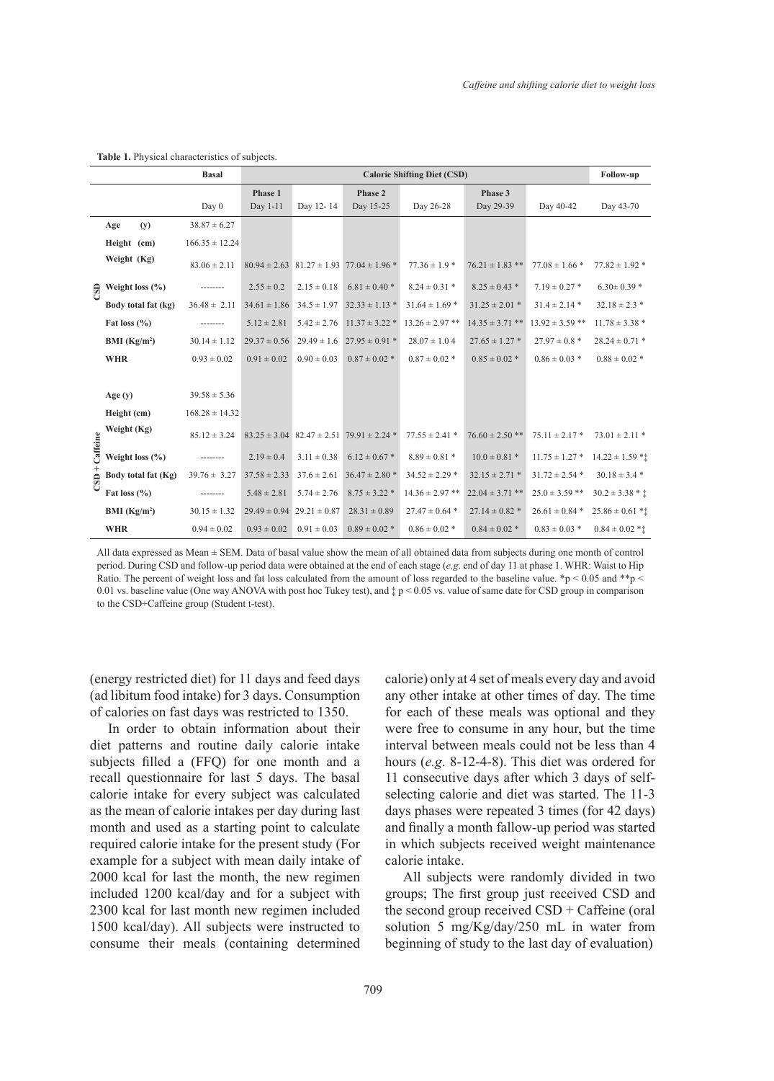|                     |                          | <b>Basal</b>       | <b>Calorie Shifting Diet (CSD)</b> |                                   |                                                      |                     |                     | Follow-up           |                     |
|---------------------|--------------------------|--------------------|------------------------------------|-----------------------------------|------------------------------------------------------|---------------------|---------------------|---------------------|---------------------|
|                     |                          |                    | Phase 1                            |                                   | Phase 2                                              |                     | Phase 3             |                     |                     |
|                     |                          | Day 0              | Day 1-11                           | Day 12-14                         | Day 15-25                                            | Day 26-28           | Day 29-39           | Day 40-42           | Day 43-70           |
|                     | Age<br>(y)               | $38.87 \pm 6.27$   |                                    |                                   |                                                      |                     |                     |                     |                     |
|                     | Height (cm)              | $166.35 \pm 12.24$ |                                    |                                   |                                                      |                     |                     |                     |                     |
|                     | Weight (Kg)              | $83.06 \pm 2.11$   |                                    |                                   | $80.94 \pm 2.63$ $81.27 \pm 1.93$ $77.04 \pm 1.96$ * | $77.36 \pm 1.9$ *   | $76.21 \pm 1.83$ ** | $77.08 \pm 1.66$ *  | $77.82 \pm 1.92$ *  |
|                     | $\Theta$ Weight loss (%) |                    | $2.55 \pm 0.2$                     | $2.15 \pm 0.18$                   | $6.81 \pm 0.40$ *                                    | $8.24 \pm 0.31$ *   | $8.25 \pm 0.43$ *   | $7.19 \pm 0.27$ *   | $6.30 \pm 0.39$ *   |
|                     | Body total fat (kg)      | $36.48 \pm 2.11$   | $34.61 \pm 1.86$                   |                                   | $34.5 \pm 1.97$ $32.33 \pm 1.13$ *                   | $31.64 \pm 1.69$ *  | $31.25 \pm 2.01$ *  | $31.4 \pm 2.14$ *   | $32.18 \pm 2.3$ *   |
|                     | Fat loss $(\% )$         | --------           | $5.12 \pm 2.81$                    |                                   | $5.42 \pm 2.76$ 11.37 $\pm$ 3.22 $*$                 | $13.26 \pm 2.97$ ** | $14.35 \pm 3.71$ ** | $13.92 \pm 3.59$ ** | $11.78 \pm 3.38$ *  |
|                     | BMI (Kg/m <sup>2</sup> ) | $30.14 \pm 1.12$   | $29.37 \pm 0.56$                   |                                   | $29.49 \pm 1.6$ $27.95 \pm 0.91$ *                   | $28.07 \pm 1.04$    | $27.65 \pm 1.27$ *  | $27.97 \pm 0.8$ *   | $28.24 \pm 0.71$ *  |
|                     | <b>WHR</b>               | $0.93 \pm 0.02$    | $0.91 \pm 0.02$                    | $0.90 \pm 0.03$                   | $0.87 \pm 0.02$ *                                    | $0.87 \pm 0.02$ *   | $0.85 \pm 0.02$ *   | $0.86 \pm 0.03$ *   | $0.88 \pm 0.02$ *   |
|                     |                          |                    |                                    |                                   |                                                      |                     |                     |                     |                     |
| Caffeine<br>$CSD +$ | Age $(y)$                | $39.58 \pm 5.36$   |                                    |                                   |                                                      |                     |                     |                     |                     |
|                     | Height (cm)              | $168.28 \pm 14.32$ |                                    |                                   |                                                      |                     |                     |                     |                     |
|                     | Weight (Kg)              | $85.12 \pm 3.24$   |                                    |                                   | $83.25 \pm 3.04$ $82.47 \pm 2.51$ $79.91 \pm 2.24$ * | $77.55 \pm 2.41$ *  | $76.60 \pm 2.50$ ** | $75.11 \pm 2.17$ *  | $73.01 \pm 2.11$ *  |
|                     | Weight loss $(\% )$      |                    | $2.19 \pm 0.4$                     | $3.11 \pm 0.38$                   | $6.12 \pm 0.67$ *                                    | $8.89 \pm 0.81$ *   | $10.0 \pm 0.81$ *   | $11.75 \pm 1.27$ *  | $14.22 \pm 1.59$ ** |
|                     | Body total fat (Kg)      | $39.76 \pm 3.27$   | $37.58 \pm 2.33$                   |                                   | $37.6 \pm 2.61$ $36.47 \pm 2.80$ *                   | $34.52 \pm 2.29$ *  | $32.15 \pm 2.71$ *  | $31.72 \pm 2.54$ *  | $30.18 \pm 3.4$ *   |
|                     | Fat loss $(\%$           |                    | $5.48 \pm 2.81$                    | $5.74 \pm 2.76$                   | $8.75 \pm 3.22$ *                                    | $14.36 \pm 2.97$ ** | $22.04 \pm 3.71$ ** | $25.0 \pm 3.59$ **  | $30.2 \pm 3.38 * t$ |
|                     | BMI (Kg/m <sup>2</sup> ) | $30.15 \pm 1.32$   |                                    | $29.49 \pm 0.94$ $29.21 \pm 0.87$ | $28.31 \pm 0.89$                                     | $27.47 \pm 0.64$ *  | $27.14 \pm 0.82$ *  | $26.61 \pm 0.84$ *  | $25.86 \pm 0.61$ *1 |
|                     | <b>WHR</b>               | $0.94 \pm 0.02$    | $0.93 \pm 0.02$                    | $0.91 \pm 0.03$                   | $0.89 \pm 0.02$ *                                    | $0.86 \pm 0.02$ *   | $0.84 \pm 0.02$ *   | $0.83 \pm 0.03$ *   | $0.84 \pm 0.02$ *1  |

**Table 1.** Physical characteristics of subjects.

All data expressed as Mean ± SEM. Data of basal value show the mean of all obtained data from subjects during one month of control period. During CSD and follow-up period data were obtained at the end of each stage (*e.g*. end of day 11 at phase 1. WHR: Waist to Hip Ratio. The percent of weight loss and fat loss calculated from the amount of loss regarded to the baseline value. \*p < 0.05 and \*\*p < 0.01 vs. baseline value (One way ANOVA with post hoc Tukey test), and ‡ p < 0.05 vs. value of same date for CSD group in comparison to the CSD+Caffeine group (Student t-test).

(energy restricted diet) for 11 days and feed days (ad libitum food intake) for 3 days. Consumption of calories on fast days was restricted to 1350.

In order to obtain information about their diet patterns and routine daily calorie intake subjects filled a (FFQ) for one month and a recall questionnaire for last 5 days. The basal calorie intake for every subject was calculated as the mean of calorie intakes per day during last month and used as a starting point to calculate required calorie intake for the present study (For example for a subject with mean daily intake of 2000 kcal for last the month, the new regimen included 1200 kcal/day and for a subject with 2300 kcal for last month new regimen included 1500 kcal/day). All subjects were instructed to consume their meals (containing determined calorie) only at 4 set of meals every day and avoid any other intake at other times of day. The time for each of these meals was optional and they were free to consume in any hour, but the time interval between meals could not be less than 4 hours (*e.g*. 8-12-4-8). This diet was ordered for 11 consecutive days after which 3 days of selfselecting calorie and diet was started. The 11-3 days phases were repeated 3 times (for 42 days) and finally a month fallow-up period was started in which subjects received weight maintenance calorie intake.

All subjects were randomly divided in two groups; The first group just received CSD and the second group received  $CSD + C$ affeine (oral solution 5 mg/Kg/day/250 mL in water from beginning of study to the last day of evaluation)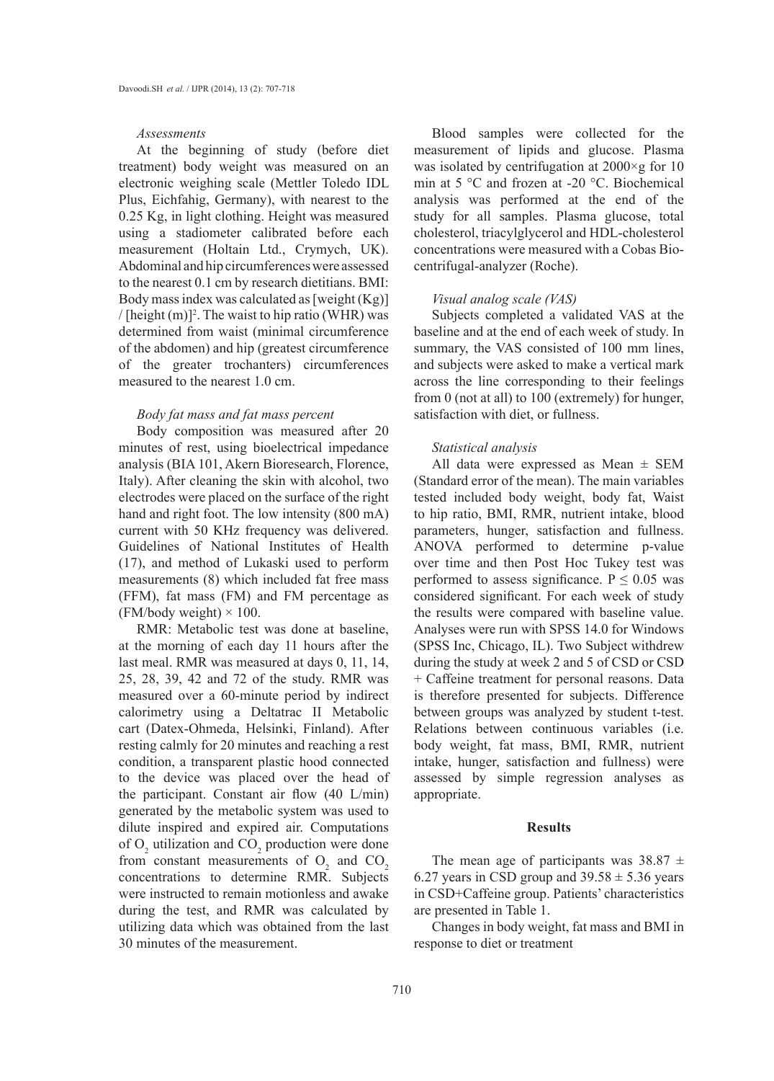#### *Assessments*

At the beginning of study (before diet treatment) body weight was measured on an electronic weighing scale (Mettler Toledo IDL Plus, Eichfahig, Germany), with nearest to the 0.25 Kg, in light clothing. Height was measured using a stadiometer calibrated before each measurement (Holtain Ltd., Crymych, UK). Abdominal and hip circumferences were assessed to the nearest 0.1 cm by research dietitians. BMI: Body mass index was calculated as [weight (Kg)] / [height  $(m)$ ]<sup>2</sup>. The waist to hip ratio (WHR) was determined from waist (minimal circumference of the abdomen) and hip (greatest circumference of the greater trochanters) circumferences measured to the nearest 1.0 cm.

# *Body fat mass and fat mass percent*

Body composition was measured after 20 minutes of rest, using bioelectrical impedance analysis (BIA 101, Akern Bioresearch, Florence, Italy). After cleaning the skin with alcohol, two electrodes were placed on the surface of the right hand and right foot. The low intensity (800 mA) current with 50 KHz frequency was delivered. Guidelines of National Institutes of Health (17), and method of Lukaski used to perform measurements (8) which included fat free mass (FFM), fat mass (FM) and FM percentage as (FM/body weight)  $\times$  100.

RMR: Metabolic test was done at baseline, at the morning of each day 11 hours after the last meal. RMR was measured at days 0, 11, 14, 25, 28, 39, 42 and 72 of the study. RMR was measured over a 60-minute period by indirect calorimetry using a Deltatrac II Metabolic cart (Datex-Ohmeda, Helsinki, Finland). After resting calmly for 20 minutes and reaching a rest condition, a transparent plastic hood connected to the device was placed over the head of the participant. Constant air flow (40 L/min) generated by the metabolic system was used to dilute inspired and expired air. Computations of  $O_2$  utilization and  $CO_2$  production were done from constant measurements of  $O_2$  and  $CO_2$ concentrations to determine RMR. Subjects were instructed to remain motionless and awake during the test, and RMR was calculated by utilizing data which was obtained from the last 30 minutes of the measurement.

Blood samples were collected for the measurement of lipids and glucose. Plasma was isolated by centrifugation at 2000×g for 10 min at 5 °C and frozen at -20 °C. Biochemical analysis was performed at the end of the study for all samples. Plasma glucose, total cholesterol, triacylglycerol and HDL-cholesterol concentrations were measured with a Cobas Biocentrifugal-analyzer (Roche).

#### *Visual analog scale (VAS)*

Subjects completed a validated VAS at the baseline and at the end of each week of study. In summary, the VAS consisted of 100 mm lines, and subjects were asked to make a vertical mark across the line corresponding to their feelings from 0 (not at all) to 100 (extremely) for hunger, satisfaction with diet, or fullness.

#### *Statistical analysis*

All data were expressed as Mean  $\pm$  SEM (Standard error of the mean). The main variables tested included body weight, body fat, Waist to hip ratio, BMI, RMR, nutrient intake, blood parameters, hunger, satisfaction and fullness. ANOVA performed to determine p-value over time and then Post Hoc Tukey test was performed to assess significance.  $P \le 0.05$  was considered significant. For each week of study the results were compared with baseline value. Analyses were run with SPSS 14.0 for Windows (SPSS Inc, Chicago, IL). Two Subject withdrew during the study at week 2 and 5 of CSD or CSD + Caffeine treatment for personal reasons. Data is therefore presented for subjects. Difference between groups was analyzed by student t-test. Relations between continuous variables (i.e. body weight, fat mass, BMI, RMR, nutrient intake, hunger, satisfaction and fullness) were assessed by simple regression analyses as appropriate.

## **Results**

The mean age of participants was  $38.87 \pm$ 6.27 years in CSD group and  $39.58 \pm 5.36$  years in CSD+Caffeine group. Patients' characteristics are presented in Table 1.

Changes in body weight, fat mass and BMI in response to diet or treatment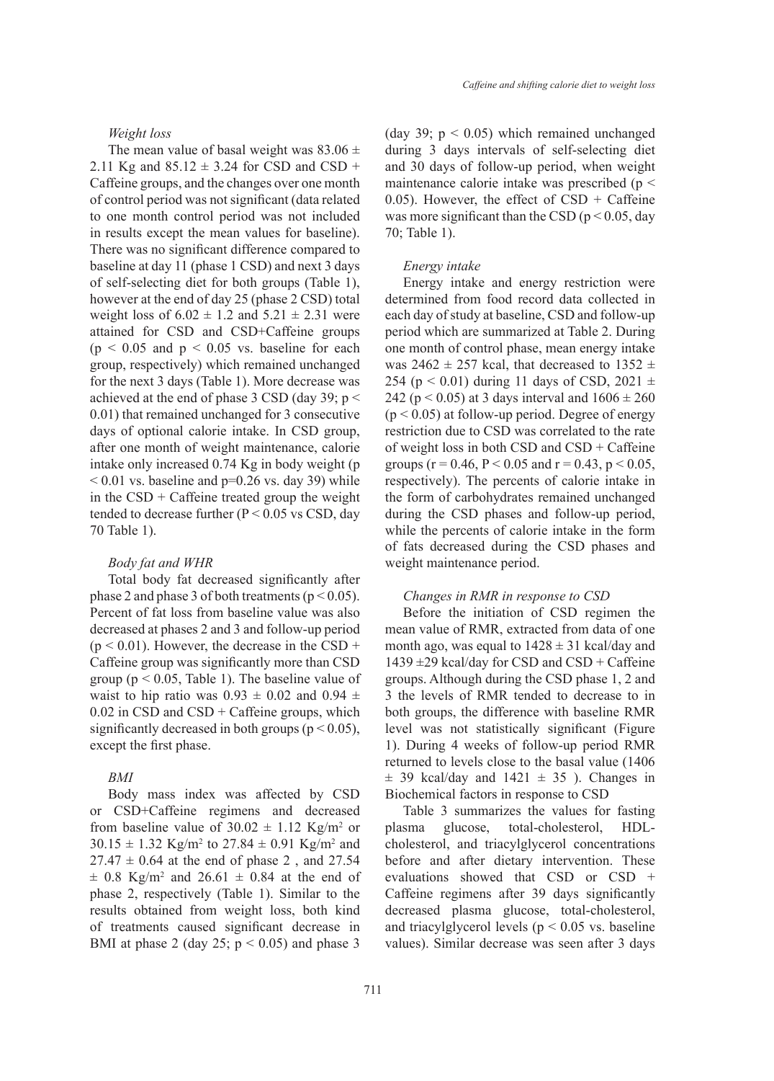#### *Weight loss*

The mean value of basal weight was  $83.06 \pm$ 2.11 Kg and  $85.12 \pm 3.24$  for CSD and CSD + Caffeine groups, and the changes over one month of control period was not significant (data related to one month control period was not included in results except the mean values for baseline). There was no significant difference compared to baseline at day 11 (phase 1 CSD) and next 3 days of self-selecting diet for both groups (Table 1), however at the end of day 25 (phase 2 CSD) total weight loss of  $6.02 \pm 1.2$  and  $5.21 \pm 2.31$  were attained for CSD and CSD+Caffeine groups  $(p \le 0.05$  and  $p \le 0.05$  vs. baseline for each group, respectively) which remained unchanged for the next 3 days (Table 1). More decrease was achieved at the end of phase 3 CSD (day 39;  $p <$ 0.01) that remained unchanged for 3 consecutive days of optional calorie intake. In CSD group, after one month of weight maintenance, calorie intake only increased 0.74 Kg in body weight (p  $< 0.01$  vs. baseline and p=0.26 vs. day 39) while in the  $CSD + C$ affeine treated group the weight tended to decrease further  $(P < 0.05$  vs CSD, day 70 Table 1).

## *Body fat and WHR*

Total body fat decreased significantly after phase 2 and phase 3 of both treatments ( $p < 0.05$ ). Percent of fat loss from baseline value was also decreased at phases 2 and 3 and follow-up period  $(p < 0.01)$ . However, the decrease in the CSD + Caffeine group was significantly more than CSD group ( $p < 0.05$ , Table 1). The baseline value of waist to hip ratio was  $0.93 \pm 0.02$  and  $0.94 \pm 1$  $0.02$  in CSD and CSD + Caffeine groups, which significantly decreased in both groups ( $p < 0.05$ ), except the first phase.

# *BMI*

Body mass index was affected by CSD or CSD+Caffeine regimens and decreased from baseline value of  $30.02 \pm 1.12$  Kg/m<sup>2</sup> or  $30.15 \pm 1.32$  Kg/m<sup>2</sup> to  $27.84 \pm 0.91$  Kg/m<sup>2</sup> and  $27.47 \pm 0.64$  at the end of phase 2, and 27.54  $\pm$  0.8 Kg/m<sup>2</sup> and 26.61  $\pm$  0.84 at the end of phase 2, respectively (Table 1). Similar to the results obtained from weight loss, both kind of treatments caused significant decrease in BMI at phase 2 (day 25;  $p < 0.05$ ) and phase 3

(day 39;  $p < 0.05$ ) which remained unchanged during 3 days intervals of self-selecting diet and 30 days of follow-up period, when weight maintenance calorie intake was prescribed ( $p <$ 0.05). However, the effect of  $CSD + C$ affeine was more significant than the CSD ( $p < 0.05$ , day 70; Table 1).

#### *Energy intake*

Energy intake and energy restriction were determined from food record data collected in each day of study at baseline, CSD and follow-up period which are summarized at Table 2. During one month of control phase, mean energy intake was 2462  $\pm$  257 kcal, that decreased to 1352  $\pm$ 254 ( $p < 0.01$ ) during 11 days of CSD, 2021  $\pm$ 242 ( $p < 0.05$ ) at 3 days interval and  $1606 \pm 260$  $(p < 0.05)$  at follow-up period. Degree of energy restriction due to CSD was correlated to the rate of weight loss in both CSD and CSD + Caffeine groups ( $r = 0.46$ ,  $P < 0.05$  and  $r = 0.43$ ,  $p < 0.05$ , respectively). The percents of calorie intake in the form of carbohydrates remained unchanged during the CSD phases and follow-up period, while the percents of calorie intake in the form of fats decreased during the CSD phases and weight maintenance period.

#### *Changes in RMR in response to CSD*

Before the initiation of CSD regimen the mean value of RMR, extracted from data of one month ago, was equal to  $1428 \pm 31$  kcal/day and  $1439 \pm 29$  kcal/day for CSD and CSD + Caffeine groups. Although during the CSD phase 1, 2 and 3 the levels of RMR tended to decrease to in both groups, the difference with baseline RMR level was not statistically significant (Figure 1). During 4 weeks of follow-up period RMR returned to levels close to the basal value (1406  $\pm$  39 kcal/day and 1421  $\pm$  35 ). Changes in Biochemical factors in response to CSD

Table 3 summarizes the values for fasting plasma glucose, total-cholesterol, HDLcholesterol, and triacylglycerol concentrations before and after dietary intervention. These evaluations showed that CSD or CSD + Caffeine regimens after 39 days significantly decreased plasma glucose, total-cholesterol, and triacylglycerol levels ( $p < 0.05$  vs. baseline values). Similar decrease was seen after 3 days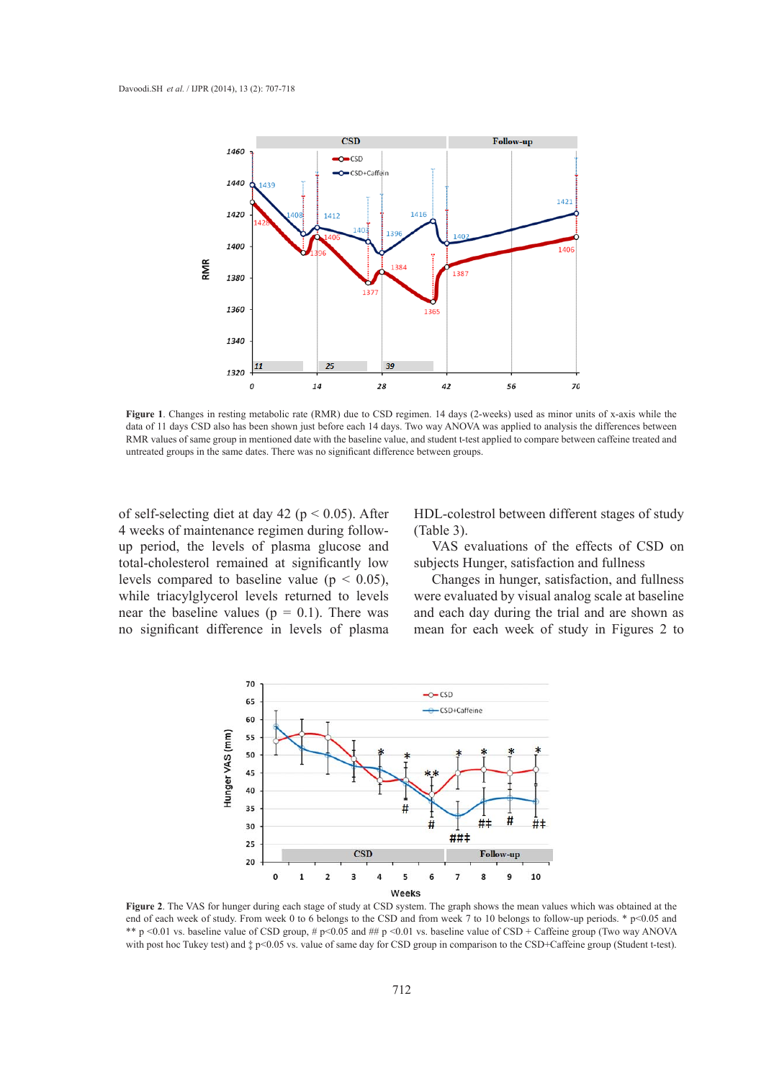

**Figure 1**. Changes in resting metabolic rate (RMR) due to CSD regimen. 14 days (2-weeks) used as minor units of x-axis while the data of 11 days CSD also has been shown just before each 14 days. Two way ANOVA was applied to analysis the differences between RMR values of same group in mentioned date with the baseline value, and student t-test applied to compare between caffeine treated and untreated groups in the same dates. There was no significant difference between groups.

of self-selecting diet at day 42 ( $p < 0.05$ ). After 4 weeks of maintenance regimen during followup period, the levels of plasma glucose and total-cholesterol remained at significantly low levels compared to baseline value ( $p < 0.05$ ), while triacylglycerol levels returned to levels near the baseline values ( $p = 0.1$ ). There was no significant difference in levels of plasma

HDL-colestrol between different stages of study (Table 3).

VAS evaluations of the effects of CSD on subjects Hunger, satisfaction and fullness

Changes in hunger, satisfaction, and fullness were evaluated by visual analog scale at baseline and each day during the trial and are shown as mean for each week of study in Figures 2 to



**Figure 2**. The VAS for hunger during each stage of study at CSD system. The graph shows the mean values which was obtained at the end of each week of study. From week 0 to 6 belongs to the CSD and from week 7 to 10 belongs to follow-up periods. \* p<0.05 and \*\* p <0.01 vs. baseline value of CSD group, # p <0.05 and ## p <0.01 vs. baseline value of CSD + Caffeine group (Two way ANOVA with post hoc Tukey test) and  $\ddagger$  p<0.05 vs. value of same day for CSD group in comparison to the CSD+Caffeine group (Student t-test).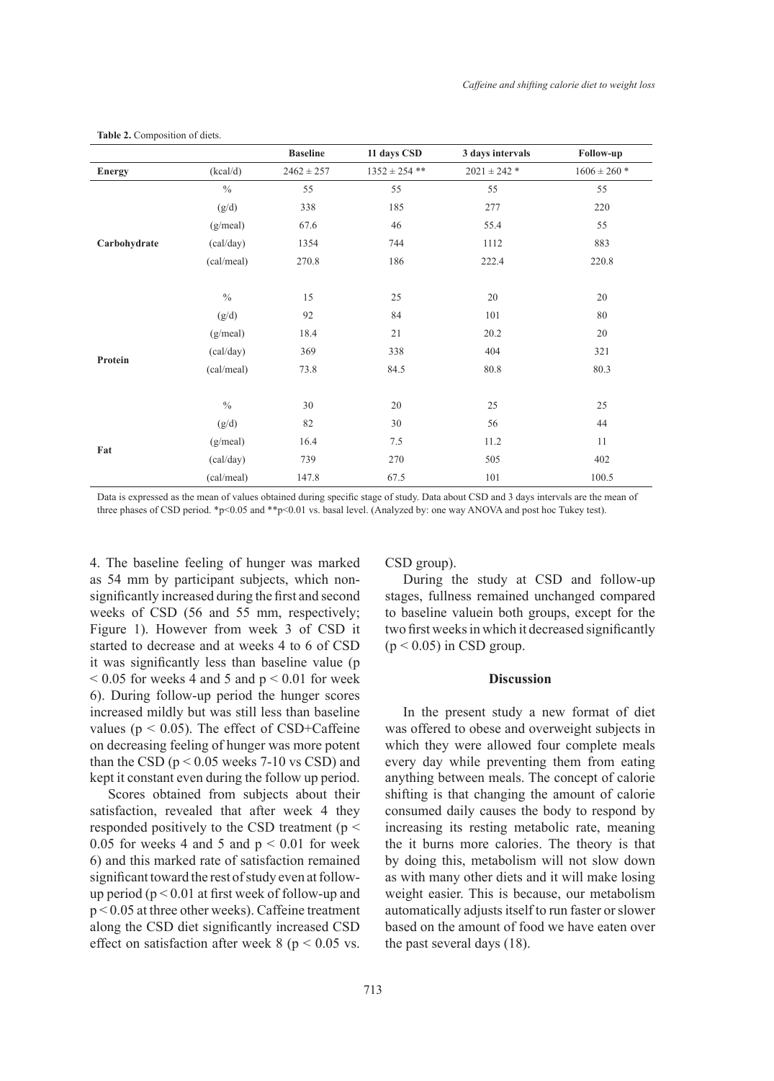|               |               | <b>Baseline</b> | 11 days CSD       | 3 days intervals | Follow-up        |
|---------------|---------------|-----------------|-------------------|------------------|------------------|
| <b>Energy</b> | (kcal/d)      | $2462 \pm 257$  | $1352 \pm 254$ ** | $2021 \pm 242$ * | $1606 \pm 260$ * |
|               | $\frac{0}{0}$ | 55              | 55                | 55               | 55               |
|               | (g/d)         | 338             | 185               | 277              | 220              |
|               | (g/real)      | 67.6            | 46                | 55.4             | 55               |
| Carbohydrate  | (cal/day)     | 1354            | 744               | 1112             | 883              |
|               | (cal/meal)    | 270.8           | 186               | 222.4            | 220.8            |
|               |               |                 |                   |                  |                  |
|               | $\frac{0}{0}$ | 15              | 25                | 20               | 20               |
|               | (g/d)         | 92              | 84                | 101              | $80\,$           |
|               | (g/real)      | 18.4            | 21                | 20.2             | 20               |
|               | (cal/day)     | 369             | 338               | 404              | 321              |
| Protein       | (cal/meal)    | 73.8            | 84.5              | 80.8             | 80.3             |
|               |               |                 |                   |                  |                  |
|               | $\frac{0}{0}$ | 30              | 20                | $25\,$           | 25               |
|               | (g/d)         | 82              | $30\,$            | 56               | 44               |
|               | (g/real)      | 16.4            | 7.5               | 11.2             | 11               |
| Fat           | (cal/day)     | 739             | 270               | 505              | 402              |
|               | (cal/meal)    | 147.8           | 67.5              | 101              | 100.5            |

**Table 2.** Composition of diets.

Data is expressed as the mean of values obtained during specific stage of study. Data about CSD and 3 days intervals are the mean of three phases of CSD period. \*p<0.05 and \*\*p<0.01 vs. basal level. (Analyzed by: one way ANOVA and post hoc Tukey test).

4. The baseline feeling of hunger was marked as 54 mm by participant subjects, which nonsignificantly increased during the first and second weeks of CSD (56 and 55 mm, respectively; Figure 1). However from week 3 of CSD it started to decrease and at weeks 4 to 6 of CSD it was significantly less than baseline value (p  $< 0.05$  for weeks 4 and 5 and  $p < 0.01$  for week 6). During follow-up period the hunger scores increased mildly but was still less than baseline values ( $p < 0.05$ ). The effect of CSD+Caffeine on decreasing feeling of hunger was more potent than the CSD ( $p < 0.05$  weeks 7-10 vs CSD) and kept it constant even during the follow up period.

Scores obtained from subjects about their satisfaction, revealed that after week 4 they responded positively to the CSD treatment ( $p <$ 0.05 for weeks 4 and 5 and  $p < 0.01$  for week 6) and this marked rate of satisfaction remained significant toward the rest of study even at followup period ( $p < 0.01$  at first week of follow-up and p < 0.05 at three other weeks). Caffeine treatment along the CSD diet significantly increased CSD effect on satisfaction after week  $8 (p \le 0.05 \text{ vs.})$  CSD group).

During the study at CSD and follow-up stages, fullness remained unchanged compared to baseline valuein both groups, except for the two first weeks in which it decreased significantly  $(p < 0.05)$  in CSD group.

# **Discussion**

In the present study a new format of diet was offered to obese and overweight subjects in which they were allowed four complete meals every day while preventing them from eating anything between meals. The concept of calorie shifting is that changing the amount of calorie consumed daily causes the body to respond by increasing its resting metabolic rate, meaning the it burns more calories. The theory is that by doing this, metabolism will not slow down as with many other diets and it will make losing weight easier. This is because, our metabolism automatically adjusts itself to run faster or slower based on the amount of food we have eaten over the past several days (18).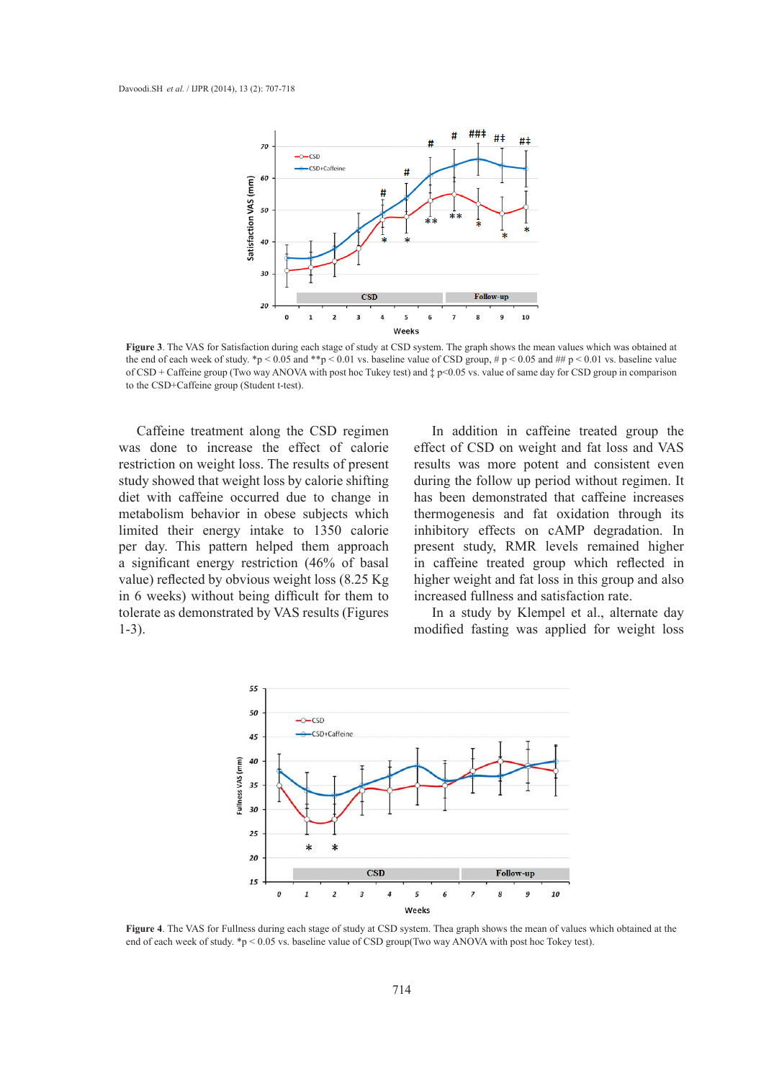

**Figure 3**. The VAS for Satisfaction during each stage of study at CSD system. The graph shows the mean values which was obtained at the end of each week of study. \*p < 0.05 and \*\*p < 0.01 vs. baseline value of CSD group, # p < 0.05 and ## p < 0.01 vs. baseline value of CSD + Caffeine group (Two way ANOVA with post hoc Tukey test) and ‡ p<0.05 vs. value of same day for CSD group in comparison to the CSD+Caffeine group (Student t-test).

Caffeine treatment along the CSD regimen was done to increase the effect of calorie restriction on weight loss. The results of present study showed that weight loss by calorie shifting diet with caffeine occurred due to change in metabolism behavior in obese subjects which limited their energy intake to 1350 calorie per day. This pattern helped them approach a significant energy restriction (46% of basal value) reflected by obvious weight loss (8.25 Kg in 6 weeks) without being difficult for them to tolerate as demonstrated by VAS results (Figures 1-3).

In addition in caffeine treated group the effect of CSD on weight and fat loss and VAS results was more potent and consistent even during the follow up period without regimen. It has been demonstrated that caffeine increases thermogenesis and fat oxidation through its inhibitory effects on cAMP degradation. In present study, RMR levels remained higher in caffeine treated group which reflected in higher weight and fat loss in this group and also increased fullness and satisfaction rate.

In a study by Klempel et al., alternate day modified fasting was applied for weight loss



**Figure 4**. The VAS for Fullness during each stage of study at CSD system. Thea graph shows the mean of values which obtained at the end of each week of study. \*p < 0.05 vs. baseline value of CSD group(Two way ANOVA with post hoc Tokey test).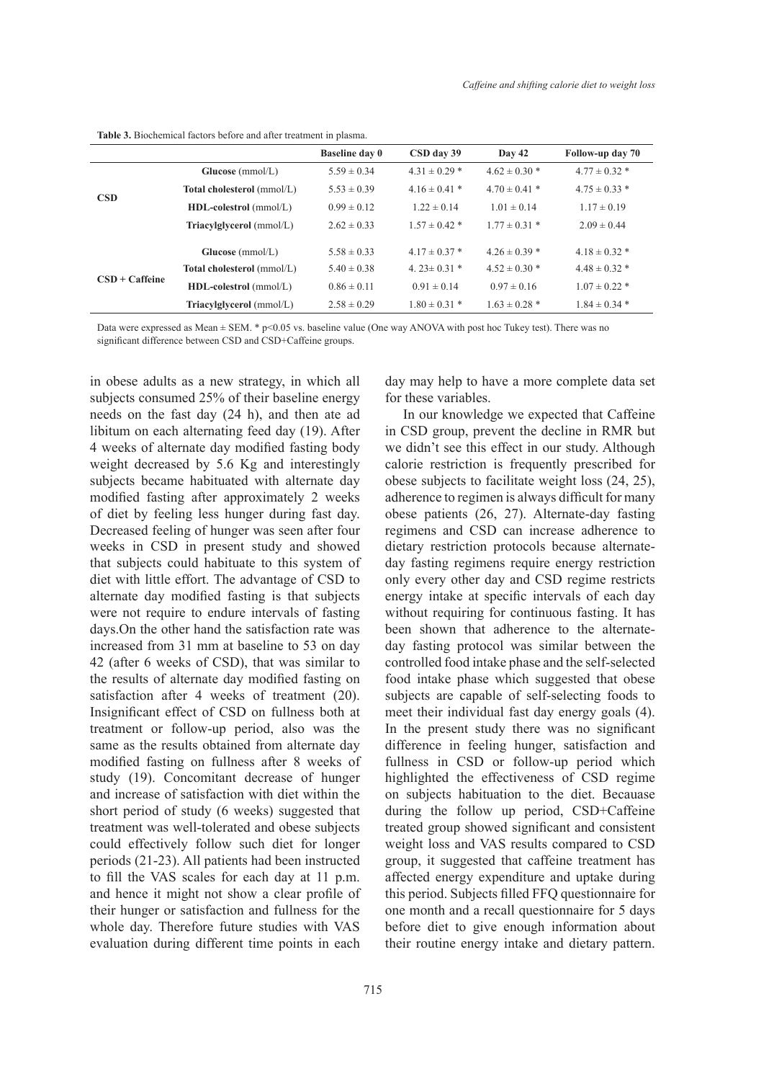|                   |                                   | <b>Baseline day 0</b> | CSD day 39         | Day 42            | Follow-up day 70  |
|-------------------|-----------------------------------|-----------------------|--------------------|-------------------|-------------------|
|                   | Glucose (mmol/L)                  | $5.59 \pm 0.34$       | $4.31 \pm 0.29$ *  | $4.62 \pm 0.30$ * | $4.77 \pm 0.32$ * |
| <b>CSD</b>        | <b>Total cholesterol</b> (mmol/L) | $5.53 \pm 0.39$       | $4.16 \pm 0.41$ *  | $4.70 \pm 0.41$ * | $4.75 \pm 0.33$ * |
|                   | <b>HDL-colestrol</b> (mmol/L)     | $0.99 \pm 0.12$       | $1.22 \pm 0.14$    | $1.01 \pm 0.14$   | $1.17 \pm 0.19$   |
|                   | Triacylglycerol (mmol/L)          | $2.62 \pm 0.33$       | $1.57 \pm 0.42$ *  | $1.77 \pm 0.31$ * | $2.09 \pm 0.44$   |
|                   | Glucose (mmol/L)                  | $5.58 \pm 0.33$       | $4.17 \pm 0.37$ *  | $4.26 \pm 0.39$ * | $4.18 \pm 0.32$ * |
|                   | Total cholesterol (mmol/L)        | $5.40 \pm 0.38$       | 4. $23 \pm 0.31$ * | $4.52 \pm 0.30$ * | $4.48 \pm 0.32$ * |
| $CSD + C$ affeine | HDL-colestrol (mmol/L)            | $0.86 \pm 0.11$       | $0.91 \pm 0.14$    | $0.97 \pm 0.16$   | $1.07 \pm 0.22$ * |
|                   | Triacylglycerol (mmol/L)          | $2.58 \pm 0.29$       | $1.80 \pm 0.31$ *  | $1.63 \pm 0.28$ * | $1.84 \pm 0.34$ * |

**Table 3.** Biochemical factors before and after treatment in plasma.

Data were expressed as Mean  $\pm$  SEM.  $*$  p<0.05 vs. baseline value (One way ANOVA with post hoc Tukey test). There was no significant difference between CSD and CSD+Caffeine groups.

in obese adults as a new strategy, in which all subjects consumed 25% of their baseline energy needs on the fast day (24 h), and then ate ad libitum on each alternating feed day (19). After 4 weeks of alternate day modified fasting body weight decreased by 5.6 Kg and interestingly subjects became habituated with alternate day modified fasting after approximately 2 weeks of diet by feeling less hunger during fast day. Decreased feeling of hunger was seen after four weeks in CSD in present study and showed that subjects could habituate to this system of diet with little effort. The advantage of CSD to alternate day modified fasting is that subjects were not require to endure intervals of fasting days.On the other hand the satisfaction rate was increased from 31 mm at baseline to 53 on day 42 (after 6 weeks of CSD), that was similar to the results of alternate day modified fasting on satisfaction after 4 weeks of treatment (20). Insignificant effect of CSD on fullness both at treatment or follow-up period, also was the same as the results obtained from alternate day modified fasting on fullness after 8 weeks of study (19). Concomitant decrease of hunger and increase of satisfaction with diet within the short period of study (6 weeks) suggested that treatment was well-tolerated and obese subjects could effectively follow such diet for longer periods (21-23). All patients had been instructed to fill the VAS scales for each day at 11 p.m. and hence it might not show a clear profile of their hunger or satisfaction and fullness for the whole day. Therefore future studies with VAS evaluation during different time points in each

day may help to have a more complete data set for these variables.

In our knowledge we expected that Caffeine in CSD group, prevent the decline in RMR but we didn't see this effect in our study. Although calorie restriction is frequently prescribed for obese subjects to facilitate weight loss (24, 25), adherence to regimen is always difficult for many obese patients (26, 27). Alternate-day fasting regimens and CSD can increase adherence to dietary restriction protocols because alternateday fasting regimens require energy restriction only every other day and CSD regime restricts energy intake at specific intervals of each day without requiring for continuous fasting. It has been shown that adherence to the alternateday fasting protocol was similar between the controlled food intake phase and the self-selected food intake phase which suggested that obese subjects are capable of self-selecting foods to meet their individual fast day energy goals (4). In the present study there was no significant difference in feeling hunger, satisfaction and fullness in CSD or follow-up period which highlighted the effectiveness of CSD regime on subjects habituation to the diet. Becauase during the follow up period, CSD+Caffeine treated group showed significant and consistent weight loss and VAS results compared to CSD group, it suggested that caffeine treatment has affected energy expenditure and uptake during this period. Subjects filled FFQ questionnaire for one month and a recall questionnaire for 5 days before diet to give enough information about their routine energy intake and dietary pattern.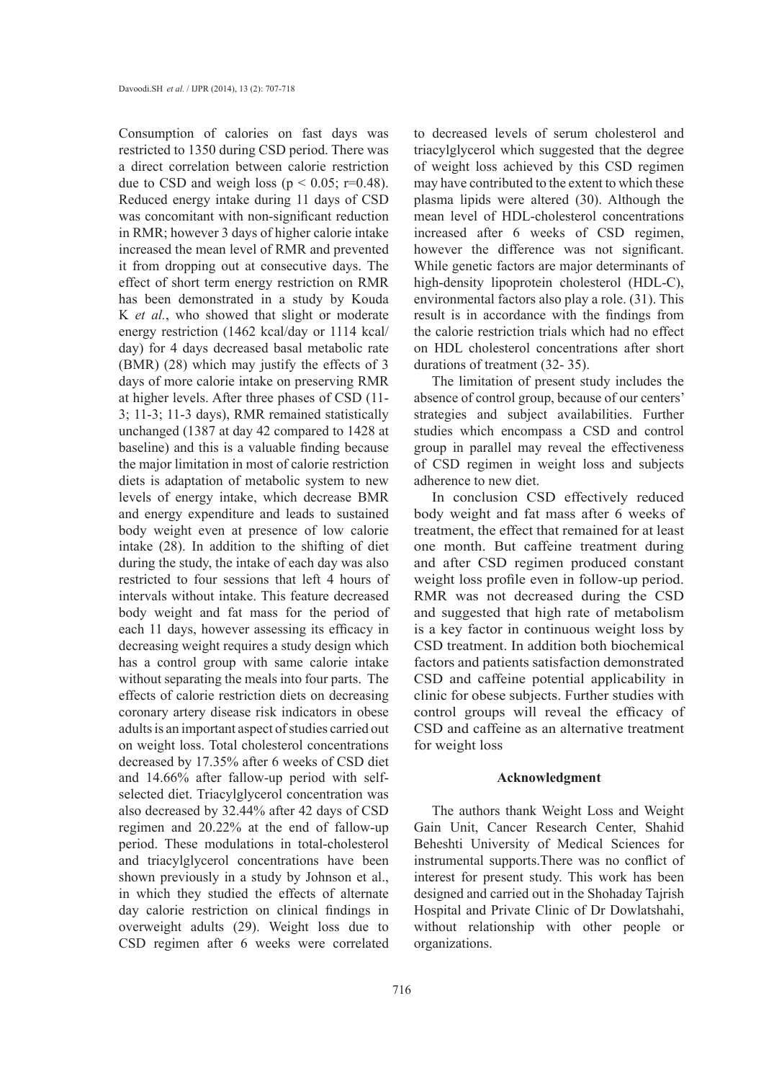Consumption of calories on fast days was restricted to 1350 during CSD period. There was a direct correlation between calorie restriction due to CSD and weigh loss ( $p < 0.05$ ; r=0.48). Reduced energy intake during 11 days of CSD was concomitant with non-significant reduction in RMR; however 3 days of higher calorie intake increased the mean level of RMR and prevented it from dropping out at consecutive days. The effect of short term energy restriction on RMR has been demonstrated in a study by Kouda K *et al.*, who showed that slight or moderate energy restriction (1462 kcal/day or 1114 kcal/ day) for 4 days decreased basal metabolic rate (BMR) (28) which may justify the effects of 3 days of more calorie intake on preserving RMR at higher levels. After three phases of CSD (11- 3; 11-3; 11-3 days), RMR remained statistically unchanged (1387 at day 42 compared to 1428 at baseline) and this is a valuable finding because the major limitation in most of calorie restriction diets is adaptation of metabolic system to new levels of energy intake, which decrease BMR and energy expenditure and leads to sustained body weight even at presence of low calorie intake (28). In addition to the shifting of diet during the study, the intake of each day was also restricted to four sessions that left 4 hours of intervals without intake. This feature decreased body weight and fat mass for the period of each 11 days, however assessing its efficacy in decreasing weight requires a study design which has a control group with same calorie intake without separating the meals into four parts. The effects of calorie restriction diets on decreasing coronary artery disease risk indicators in obese adults is an important aspect of studies carried out on weight loss. Total cholesterol concentrations decreased by 17.35% after 6 weeks of CSD diet and 14.66% after fallow-up period with selfselected diet. Triacylglycerol concentration was also decreased by 32.44% after 42 days of CSD regimen and 20.22% at the end of fallow-up period. These modulations in total-cholesterol and triacylglycerol concentrations have been shown previously in a study by Johnson et al., in which they studied the effects of alternate day calorie restriction on clinical findings in overweight adults (29). Weight loss due to CSD regimen after 6 weeks were correlated

to decreased levels of serum cholesterol and triacylglycerol which suggested that the degree of weight loss achieved by this CSD regimen may have contributed to the extent to which these plasma lipids were altered (30). Although the mean level of HDL-cholesterol concentrations increased after 6 weeks of CSD regimen, however the difference was not significant. While genetic factors are major determinants of high-density lipoprotein cholesterol (HDL-C), environmental factors also play a role. (31). This result is in accordance with the findings from the calorie restriction trials which had no effect on HDL cholesterol concentrations after short durations of treatment (32- 35).

The limitation of present study includes the absence of control group, because of our centers' strategies and subject availabilities. Further studies which encompass a CSD and control group in parallel may reveal the effectiveness of CSD regimen in weight loss and subjects adherence to new diet.

In conclusion CSD effectively reduced body weight and fat mass after 6 weeks of treatment, the effect that remained for at least one month. But caffeine treatment during and after CSD regimen produced constant weight loss profile even in follow-up period. RMR was not decreased during the CSD and suggested that high rate of metabolism is a key factor in continuous weight loss by CSD treatment. In addition both biochemical factors and patients satisfaction demonstrated CSD and caffeine potential applicability in clinic for obese subjects. Further studies with control groups will reveal the efficacy of CSD and caffeine as an alternative treatment for weight loss

## **Acknowledgment**

The authors thank Weight Loss and Weight Gain Unit, Cancer Research Center, Shahid Beheshti University of Medical Sciences for instrumental supports.There was no conflict of interest for present study. This work has been designed and carried out in the Shohaday Tajrish Hospital and Private Clinic of Dr Dowlatshahi, without relationship with other people or organizations.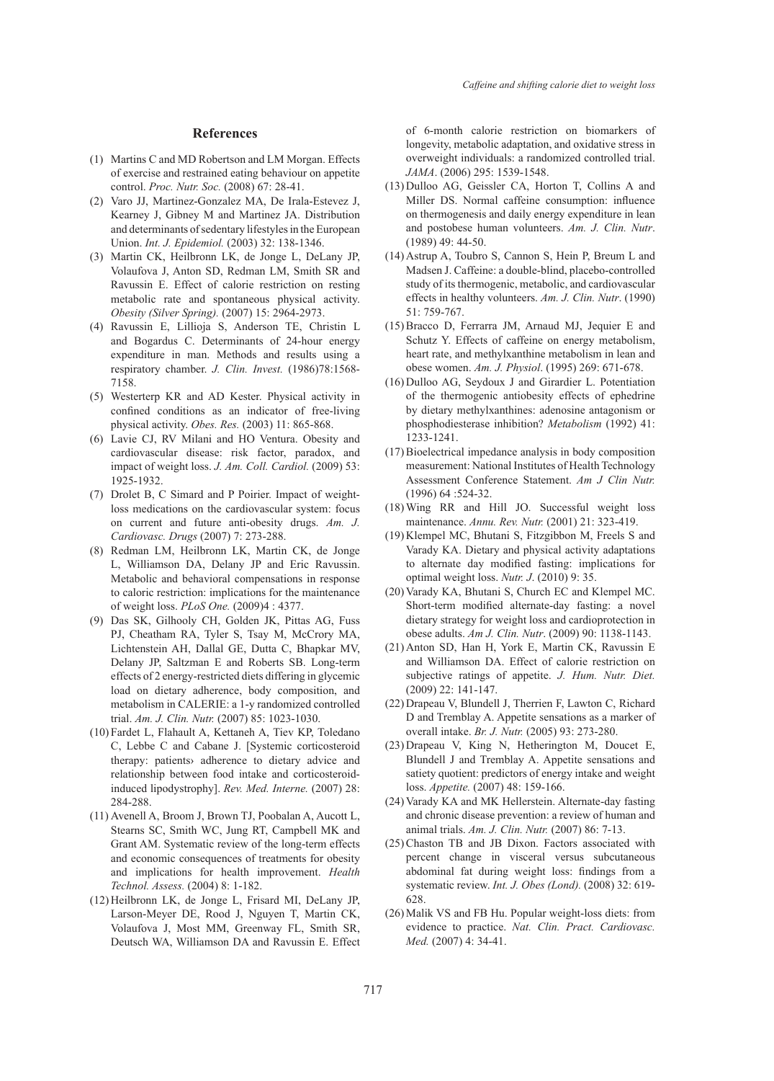#### **References**

- (1) Martins C and MD Robertson and LM Morgan. Effects of exercise and restrained eating behaviour on appetite control. *Proc. Nutr. Soc.* (2008) 67: 28-41.
- (2) Varo JJ, Martinez-Gonzalez MA, De Irala-Estevez J, Kearney J, Gibney M and Martinez JA. Distribution and determinants of sedentary lifestyles in the European Union. *Int. J. Epidemiol.* (2003) 32: 138-1346.
- (3) Martin CK, Heilbronn LK, de Jonge L, DeLany JP, Volaufova J, Anton SD, Redman LM, Smith SR and Ravussin E. Effect of calorie restriction on resting metabolic rate and spontaneous physical activity. *Obesity (Silver Spring).* (2007) 15: 2964-2973.
- Ravussin E, Lillioja S, Anderson TE, Christin L (4) and Bogardus C. Determinants of 24-hour energy expenditure in man. Methods and results using a respiratory chamber. *J. Clin. Invest.* (1986)78:1568- 7158.
- Westerterp KR and AD Kester. Physical activity in (5) confined conditions as an indicator of free-living physical activity. *Obes. Res.* (2003) 11: 865-868.
- Lavie CJ, RV Milani and HO Ventura. Obesity and (6) cardiovascular disease: risk factor, paradox, and impact of weight loss. *J. Am. Coll. Cardiol.* (2009) 53: 1925-1932.
- (7) Drolet B, C Simard and P Poirier. Impact of weightloss medications on the cardiovascular system: focus on current and future anti-obesity drugs. *Am. J. Cardiovasc. Drugs* (2007) 7: 273-288.
- (8) Redman LM, Heilbronn LK, Martin CK, de Jonge L, Williamson DA, Delany JP and Eric Ravussin. Metabolic and behavioral compensations in response to caloric restriction: implications for the maintenance of weight loss. *PLoS One.* (2009)4 : 4377.
- (9) Das SK, Gilhooly CH, Golden JK, Pittas AG, Fuss PJ, Cheatham RA, Tyler S, Tsay M, McCrory MA, Lichtenstein AH, Dallal GE, Dutta C, Bhapkar MV, Delany JP, Saltzman E and Roberts SB. Long-term effects of 2 energy-restricted diets differing in glycemic load on dietary adherence, body composition, and metabolism in CALERIE: a 1-y randomized controlled trial. *Am. J. Clin. Nutr.* (2007) 85: 1023-1030.
- (10) Fardet L, Flahault A, Kettaneh A, Tiev KP, Toledano C, Lebbe C and Cabane J. [Systemic corticosteroid therapy: patients› adherence to dietary advice and relationship between food intake and corticosteroidinduced lipodystrophy]. *Rev. Med. Interne.* (2007) 28: 284-288.
- Avenell A, Broom J, Brown TJ, Poobalan A, Aucott L, (11) Stearns SC, Smith WC, Jung RT, Campbell MK and Grant AM. Systematic review of the long-term effects and economic consequences of treatments for obesity and implications for health improvement. *Health Technol. Assess.* (2004) 8: 1-182.
- (12) Heilbronn LK, de Jonge L, Frisard MI, DeLany JP, Larson-Meyer DE, Rood J, Nguyen T, Martin CK, Volaufova J, Most MM, Greenway FL, Smith SR, Deutsch WA, Williamson DA and Ravussin E. Effect

of 6-month calorie restriction on biomarkers of longevity, metabolic adaptation, and oxidative stress in overweight individuals: a randomized controlled trial. *JAMA*. (2006) 295: 1539-1548.

- $(13)$  Dulloo AG, Geissler CA, Horton T, Collins A and Miller DS. Normal caffeine consumption: influence on thermogenesis and daily energy expenditure in lean and postobese human volunteers. *Am. J. Clin. Nutr*. (1989) 49: 44-50.
- $(14)$  Astrup A, Toubro S, Cannon S, Hein P, Breum L and Madsen J. Caffeine: a double-blind, placebo-controlled study of its thermogenic, metabolic, and cardiovascular effects in healthy volunteers. *Am. J. Clin. Nutr*. (1990) 51: 759-767.
- $(15)$  Bracco D, Ferrarra JM, Arnaud MJ, Jequier E and Schutz Y. Effects of caffeine on energy metabolism, heart rate, and methylxanthine metabolism in lean and obese women. *Am. J. Physiol*. (1995) 269: 671-678.
- $(16)$  Dulloo AG, Seydoux J and Girardier L. Potentiation of the thermogenic antiobesity effects of ephedrine by dietary methylxanthines: adenosine antagonism or phosphodiesterase inhibition? *Metabolism* (1992) 41: 1233-1241.
- Bioelectrical impedance analysis in body composition (17) measurement: National Institutes of Health Technology Assessment Conference Statement. *Am J Clin Nutr.* (1996) 64 :524-32.
- Wing RR and Hill JO. Successful weight loss (18) maintenance. *Annu. Rev. Nutr.* (2001) 21: 323-419.
- (19) Klempel MC, Bhutani S, Fitzgibbon M, Freels S and Varady KA. Dietary and physical activity adaptations to alternate day modified fasting: implications for optimal weight loss. *Nutr. J*. (2010) 9: 35.
- (20) Varady KA, Bhutani S, Church EC and Klempel MC. Short-term modified alternate-day fasting: a novel dietary strategy for weight loss and cardioprotection in obese adults. *Am J. Clin. Nutr*. (2009) 90: 1138-1143.
- (21) Anton SD, Han H, York E, Martin CK, Ravussin E and Williamson DA. Effect of calorie restriction on subjective ratings of appetite. *J. Hum. Nutr. Diet.* (2009) 22: 141-147.
- (22) Drapeau V, Blundell J, Therrien F, Lawton C, Richard D and Tremblay A. Appetite sensations as a marker of overall intake. *Br. J. Nutr.* (2005) 93: 273-280.
- $(23)$  Drapeau V, King N, Hetherington M, Doucet E, Blundell J and Tremblay A. Appetite sensations and satiety quotient: predictors of energy intake and weight loss. *Appetite.* (2007) 48: 159-166.
- (24) Varady KA and MK Hellerstein. Alternate-day fasting and chronic disease prevention: a review of human and animal trials. *Am. J. Clin. Nutr.* (2007) 86: 7-13.
- (25) Chaston TB and JB Dixon. Factors associated with percent change in visceral versus subcutaneous abdominal fat during weight loss: findings from a systematic review. *Int. J. Obes (Lond).* (2008) 32: 619- 628.
- (26) Malik VS and FB Hu. Popular weight-loss diets: from evidence to practice. *Nat. Clin. Pract. Cardiovasc. Med.* (2007) 4: 34-41.